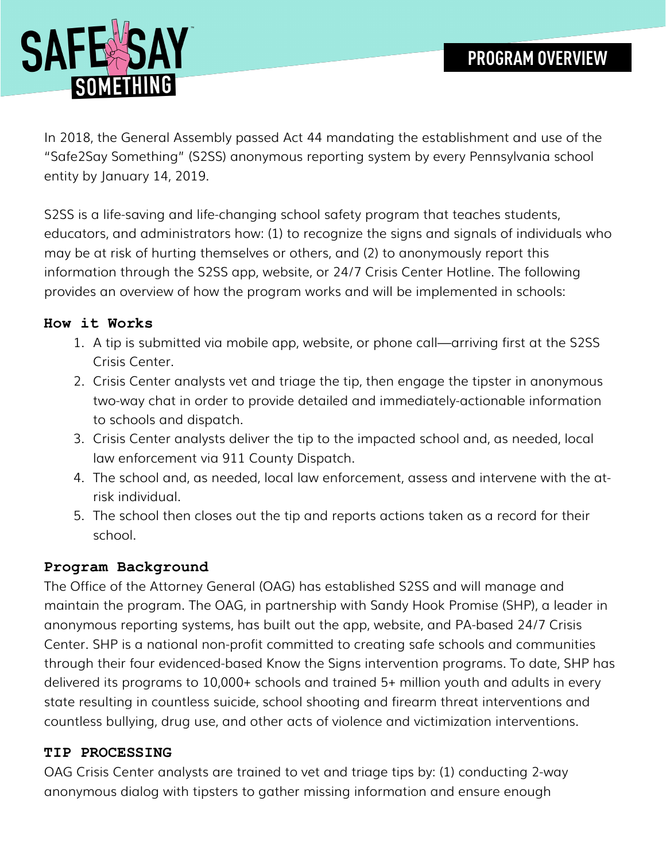

In 2018, the General Assembly passed Act 44 mandating the establishment and use of the "Safe2Say Something" (S2SS) anonymous reporting system by every Pennsylvania school entity by January 14, 2019.

S2SS is a life-saving and life-changing school safety program that teaches students, educators, and administrators how: (1) to recognize the signs and signals of individuals who may be at risk of hurting themselves or others, and (2) to anonymously report this information through the S2SS app, website, or 24/7 Crisis Center Hotline. The following provides an overview of how the program works and will be implemented in schools:

# **How it Works**

- 1. A tip is submitted via mobile app, website, or phone call—arriving first at the S2SS Crisis Center.
- 2. Crisis Center analysts vet and triage the tip, then engage the tipster in anonymous two-way chat in order to provide detailed and immediately-actionable information to schools and dispatch.
- 3. Crisis Center analysts deliver the tip to the impacted school and, as needed, local law enforcement via 911 County Dispatch.
- 4. The school and, as needed, local law enforcement, assess and intervene with the atrisk individual.
- 5. The school then closes out the tip and reports actions taken as a record for their school.

## **Program Background**

The Office of the Attorney General (OAG) has established S2SS and will manage and maintain the program. The OAG, in partnership with Sandy Hook Promise (SHP), a leader in anonymous reporting systems, has built out the app, website, and PA-based 24/7 Crisis Center. SHP is a national non-profit committed to creating safe schools and communities through their four evidenced-based Know the Signs intervention programs. To date, SHP has delivered its programs to 10,000+ schools and trained 5+ million youth and adults in every state resulting in countless suicide, school shooting and firearm threat interventions and countless bullying, drug use, and other acts of violence and victimization interventions.

## **TIP PROCESSING**

OAG Crisis Center analysts are trained to vet and triage tips by: (1) conducting 2-way anonymous dialog with tipsters to gather missing information and ensure enough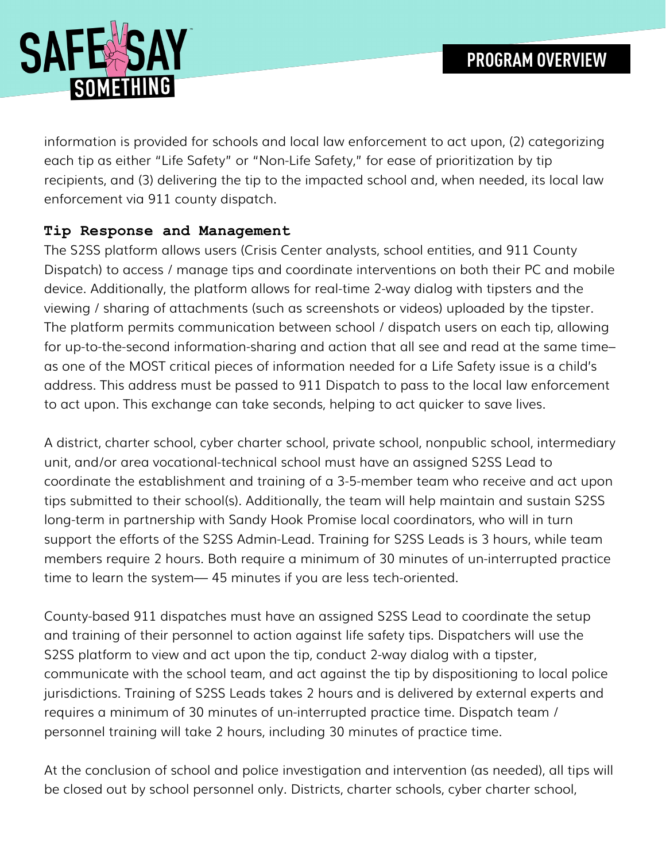

information is provided for schools and local law enforcement to act upon, (2) categorizing each tip as either "Life Safety" or "Non-Life Safety," for ease of prioritization by tip recipients, and (3) delivering the tip to the impacted school and, when needed, its local law enforcement via 911 county dispatch.

## **Tip Response and Management**

The S2SS platform allows users (Crisis Center analysts, school entities, and 911 County Dispatch) to access / manage tips and coordinate interventions on both their PC and mobile device. Additionally, the platform allows for real-time 2-way dialog with tipsters and the viewing / sharing of attachments (such as screenshots or videos) uploaded by the tipster. The platform permits communication between school / dispatch users on each tip, allowing for up-to-the-second information-sharing and action that all see and read at the same time– as one of the MOST critical pieces of information needed for a Life Safety issue is a child's address. This address must be passed to 911 Dispatch to pass to the local law enforcement to act upon. This exchange can take seconds, helping to act quicker to save lives.

A district, charter school, cyber charter school, private school, nonpublic school, intermediary unit, and/or area vocational-technical school must have an assigned S2SS Lead to coordinate the establishment and training of a 3-5-member team who receive and act upon tips submitted to their school(s). Additionally, the team will help maintain and sustain S2SS long-term in partnership with Sandy Hook Promise local coordinators, who will in turn support the efforts of the S2SS Admin-Lead. Training for S2SS Leads is 3 hours, while team members require 2 hours. Both require a minimum of 30 minutes of un-interrupted practice time to learn the system— 45 minutes if you are less tech-oriented.

County-based 911 dispatches must have an assigned S2SS Lead to coordinate the setup and training of their personnel to action against life safety tips. Dispatchers will use the S2SS platform to view and act upon the tip, conduct 2-way dialog with a tipster, communicate with the school team, and act against the tip by dispositioning to local police jurisdictions. Training of S2SS Leads takes 2 hours and is delivered by external experts and requires a minimum of 30 minutes of un-interrupted practice time. Dispatch team / personnel training will take 2 hours, including 30 minutes of practice time.

At the conclusion of school and police investigation and intervention (as needed), all tips will be closed out by school personnel only. Districts, charter schools, cyber charter school,